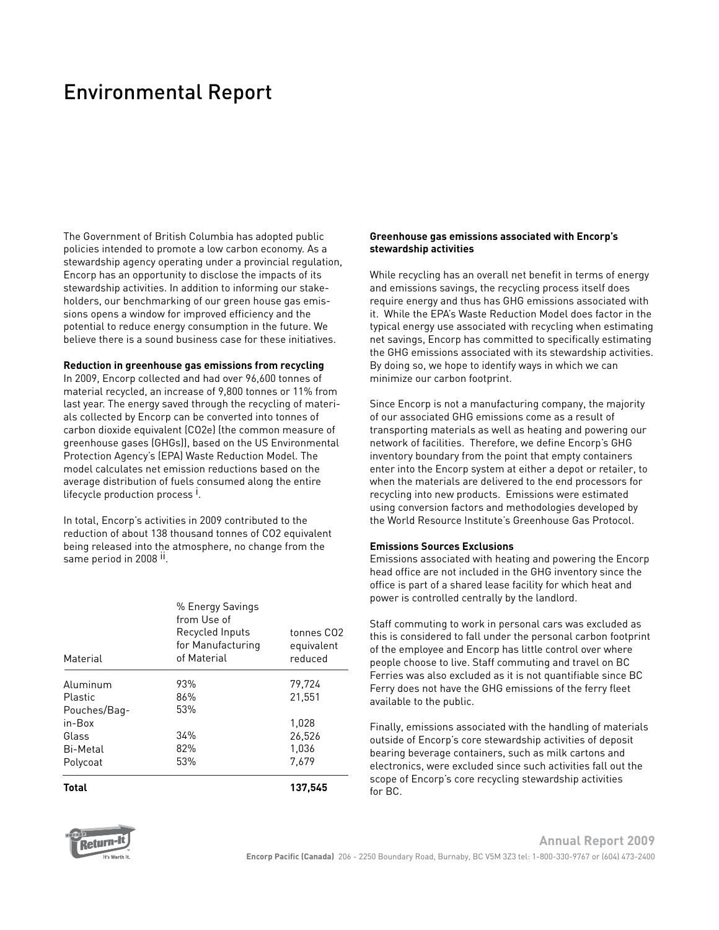## Environmental Report

The Government of British Columbia has adopted public policies intended to promote a low carbon economy. As a stewardship agency operating under a provincial regulation, Encorp has an opportunity to disclose the impacts of its stewardship activities. In addition to informing our stakeholders, our benchmarking of our green house gas emissions opens a window for improved efficiency and the potential to reduce energy consumption in the future. We believe there is a sound business case for these initiatives.

#### **Reduction in greenhouse gas emissions from recycling**

In 2009, Encorp collected and had over 96,600 tonnes of material recycled, an increase of 9,800 tonnes or 11% from last year. The energy saved through the recycling of materials collected by Encorp can be converted into tonnes of carbon dioxide equivalent (CO2e) (the common measure of greenhouse gases (GHGs)), based on the US Environmental Protection Agency's (EPA) Waste Reduction Model. The model calculates net emission reductions based on the average distribution of fuels consumed along the entire lifecycle production process<sup>1</sup>.

In total, Encorp's activities in 2009 contributed to the reduction of about 138 thousand tonnes of CO2 equivalent being released into the atmosphere, no change from the same period in 2008<sup>II</sup>.

**Total**

## **Greenhouse gas emissions associated with Encorp's stewardship activities**

While recycling has an overall net benefit in terms of energy and emissions savings, the recycling process itself does require energy and thus has GHG emissions associated with it. While the EPA's Waste Reduction Model does factor in the typical energy use associated with recycling when estimating net savings, Encorp has committed to specifically estimating the GHG emissions associated with its stewardship activities. By doing so, we hope to identify ways in which we can minimize our carbon footprint.

Since Encorp is not a manufacturing company, the majority of our associated GHG emissions come as a result of transporting materials as well as heating and powering our network of facilities. Therefore, we define Encorp's GHG inventory boundary from the point that empty containers enter into the Encorp system at either a depot or retailer, to when the materials are delivered to the end processors for recycling into new products. Emissions were estimated using conversion factors and methodologies developed by the World Resource Institute's Greenhouse Gas Protocol.

### **Emissions Sources Exclusions**

Emissions associated with heating and powering the Encorp head office are not included in the GHG inventory since the office is part of a shared lease facility for which heat and power is controlled centrally by the landlord.

Staff commuting to work in personal cars was excluded as this is considered to fall under the personal carbon footprint of the employee and Encorp has little control over where people choose to live. Staff commuting and travel on BC Ferries was also excluded as it is not quantifiable since BC Ferry does not have the GHG emissions of the ferry fleet available to the public.

Finally, emissions associated with the handling of materials outside of Encorp's core stewardship activities of deposit bearing beverage containers, such as milk cartons and electronics, were excluded since such activities fall out the scope of Encorp's core recycling stewardship activities for BC.



**Annual Report 2009 Encorp Pacific (Canada)** 206 - 2250 Boundary Road, Burnaby, BC V5M 3Z3 tel: 1-800-330-9767 or (604) 473-2400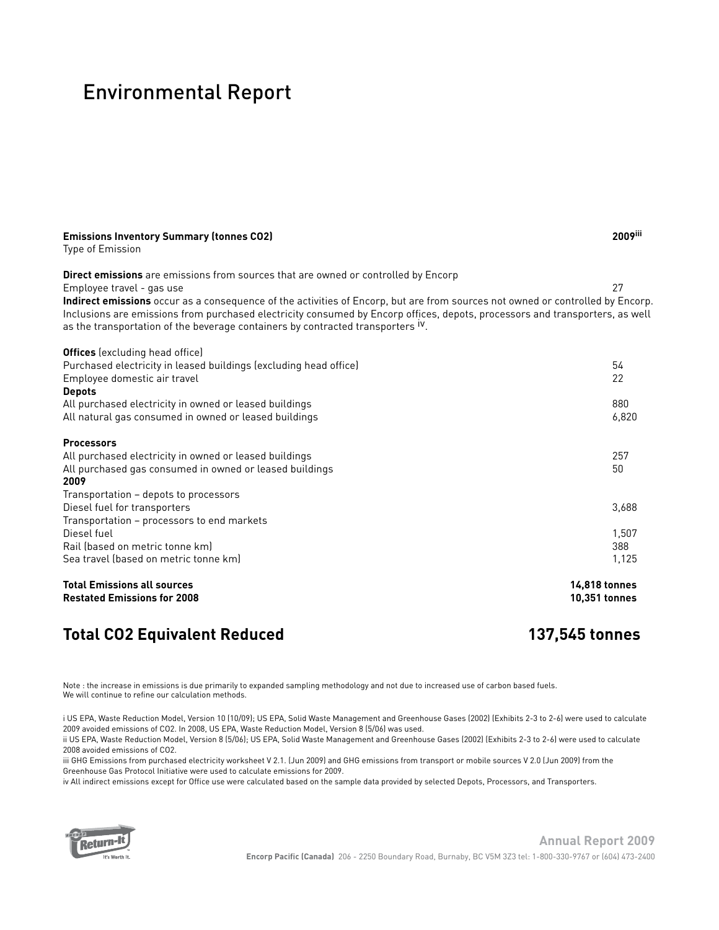## Environmental Report

| <b>Emissions Inventory Summary (tonnes CO2)</b><br>Type of Emission                                                                                                                                                                                                                                                                                           | 2009iii              |
|---------------------------------------------------------------------------------------------------------------------------------------------------------------------------------------------------------------------------------------------------------------------------------------------------------------------------------------------------------------|----------------------|
| Direct emissions are emissions from sources that are owned or controlled by Encorp<br>Employee travel - gas use                                                                                                                                                                                                                                               | 27                   |
| Indirect emissions occur as a consequence of the activities of Encorp, but are from sources not owned or controlled by Encorp.<br>Inclusions are emissions from purchased electricity consumed by Encorp offices, depots, processors and transporters, as well<br>as the transportation of the beverage containers by contracted transporters <sup>IV</sup> . |                      |
| <b>Offices</b> (excluding head office)                                                                                                                                                                                                                                                                                                                        |                      |
| Purchased electricity in leased buildings (excluding head office)<br>Employee domestic air travel                                                                                                                                                                                                                                                             | 54<br>22             |
| <b>Depots</b><br>All purchased electricity in owned or leased buildings                                                                                                                                                                                                                                                                                       | 880                  |
| All natural gas consumed in owned or leased buildings                                                                                                                                                                                                                                                                                                         | 6,820                |
| <b>Processors</b>                                                                                                                                                                                                                                                                                                                                             |                      |
| All purchased electricity in owned or leased buildings                                                                                                                                                                                                                                                                                                        | 257                  |
| All purchased gas consumed in owned or leased buildings<br>2009                                                                                                                                                                                                                                                                                               | 50                   |
| Transportation - depots to processors                                                                                                                                                                                                                                                                                                                         |                      |
| Diesel fuel for transporters                                                                                                                                                                                                                                                                                                                                  | 3,688                |
| Transportation - processors to end markets                                                                                                                                                                                                                                                                                                                    |                      |
| Diesel fuel                                                                                                                                                                                                                                                                                                                                                   | 1,507                |
| Rail (based on metric tonne km)                                                                                                                                                                                                                                                                                                                               | 388                  |
| Sea travel (based on metric tonne km)                                                                                                                                                                                                                                                                                                                         | 1,125                |
| <b>Total Emissions all sources</b>                                                                                                                                                                                                                                                                                                                            | <b>14,818 tonnes</b> |
| <b>Restated Emissions for 2008</b>                                                                                                                                                                                                                                                                                                                            | 10,351 tonnes        |

## **Total CO2 Equivalent Reduced 137,545 tonnes**

Note : the increase in emissions is due primarily to expanded sampling methodology and not due to increased use of carbon based fuels. We will continue to refine our calculation methods.

i US EPA, Waste Reduction Model, Version 10 (10/09); US EPA, Solid Waste Management and Greenhouse Gases (2002) (Exhibits 2-3 to 2-6) were used to calculate 2009 avoided emissions of CO2. In 2008, US EPA, Waste Reduction Model, Version 8 (5/06) was used.

ii US EPA, Waste Reduction Model, Version 8 (5/06); US EPA, Solid Waste Management and Greenhouse Gases (2002) (Exhibits 2-3 to 2-6) were used to calculate 2008 avoided emissions of CO2.

iii GHG Emissions from purchased electricity worksheet V 2.1. (Jun 2009) and GHG emissions from transport or mobile sources V 2.0 (Jun 2009) from the Greenhouse Gas Protocol Initiative were used to calculate emissions for 2009.

iv All indirect emissions except for Office use were calculated based on the sample data provided by selected Depots, Processors, and Transporters.